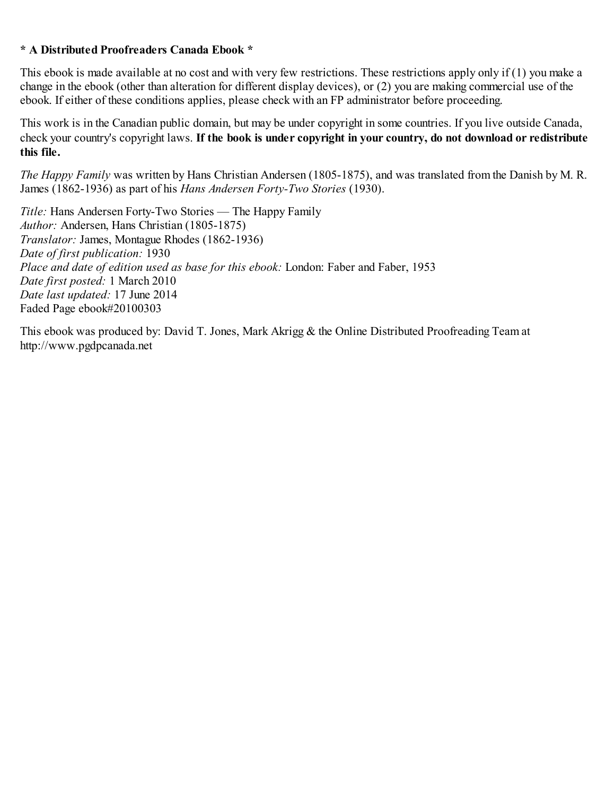## **\* A Distributed Proofreaders Canada Ebook \***

This ebook is made available at no cost and with very few restrictions. These restrictions apply only if (1) you make a change in the ebook (other than alteration for different display devices), or (2) you are making commercial use of the ebook. If either of these conditions applies, please check with an FP administrator before proceeding.

This work is in the Canadian public domain, but may be under copyright in some countries. If you live outside Canada, check your country's copyright laws. **If the book is under copyright in your country, do not download or redistribute this file.**

*The Happy Family* was written by Hans Christian Andersen (1805-1875), and was translated from the Danish by M. R. James (1862-1936) as part of his *Hans Andersen Forty-Two Stories* (1930).

*Title:* Hans Andersen Forty-Two Stories — The Happy Family *Author:* Andersen, Hans Christian (1805-1875) *Translator:* James, Montague Rhodes (1862-1936) *Date of first publication:* 1930 *Place and date of edition used as base for this ebook:* London: Faber and Faber, 1953 *Date first posted:* 1 March 2010 *Date last updated:* 17 June 2014 Faded Page ebook#20100303

This ebook was produced by: David T. Jones, Mark Akrigg & the Online Distributed Proofreading Team at http://www.pgdpcanada.net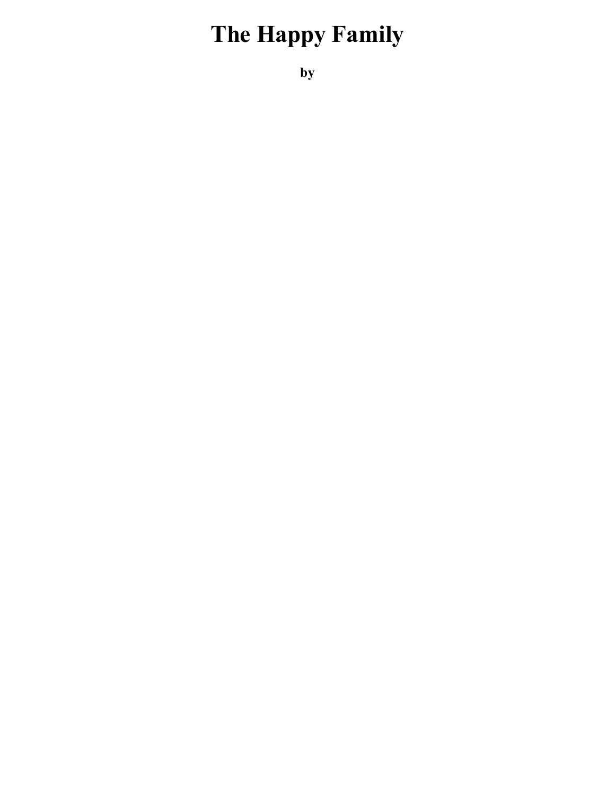## **The Happy Family**

**by**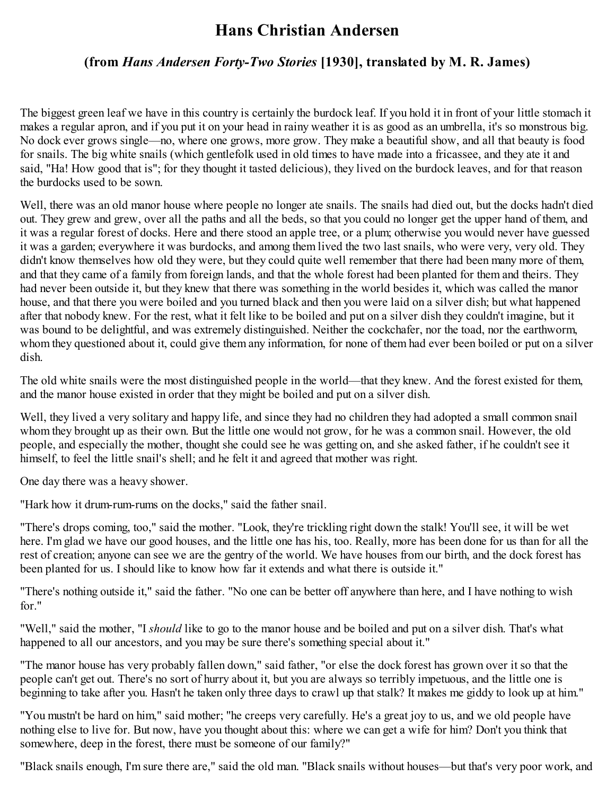## **Hans Christian Andersen**

## **(from** *Hans Andersen Forty-Two Stories* **[1930], translated by M. R. James)**

The biggest green leaf we have in this country is certainly the burdock leaf. If you hold it in front of your little stomach it makes a regular apron, and if you put it on your head in rainy weather it is as good as an umbrella, it's so monstrous big. No dock ever grows single—no, where one grows, more grow. They make a beautiful show, and all that beauty is food for snails. The big white snails (which gentlefolk used in old times to have made into a fricassee, and they ate it and said, "Ha! How good that is"; for they thought it tasted delicious), they lived on the burdock leaves, and for that reason the burdocks used to be sown.

Well, there was an old manor house where people no longer ate snails. The snails had died out, but the docks hadn't died out. They grew and grew, over all the paths and all the beds, so that you could no longer get the upper hand of them, and it was a regular forest of docks. Here and there stood an apple tree, or a plum; otherwise you would never have guessed it was a garden; everywhere it was burdocks, and among them lived the two last snails, who were very, very old. They didn't know themselves how old they were, but they could quite well remember that there had been many more of them, and that they came of a family from foreign lands, and that the whole forest had been planted for them and theirs. They had never been outside it, but they knew that there was something in the world besides it, which was called the manor house, and that there you were boiled and you turned black and then you were laid on a silver dish; but what happened after that nobody knew. For the rest, what it felt like to be boiled and put on a silver dish they couldn't imagine, but it was bound to be delightful, and was extremely distinguished. Neither the cockchafer, nor the toad, nor the earthworm, whom they questioned about it, could give them any information, for none of them had ever been boiled or put on a silver dish.

The old white snails were the most distinguished people in the world—that they knew. And the forest existed for them, and the manor house existed in order that they might be boiled and put on a silver dish.

Well, they lived a very solitary and happy life, and since they had no children they had adopted a small common snail whom they brought up as their own. But the little one would not grow, for he was a common snail. However, the old people, and especially the mother, thought she could see he was getting on, and she asked father, if he couldn't see it himself, to feel the little snail's shell; and he felt it and agreed that mother was right.

One day there was a heavy shower.

"Hark how it drum-rum-rums on the docks," said the father snail.

"There's drops coming, too," said the mother. "Look, they're trickling right down the stalk! You'll see, it will be wet here. I'm glad we have our good houses, and the little one has his, too. Really, more has been done for us than for all the rest of creation; anyone can see we are the gentry of the world. We have houses from our birth, and the dock forest has been planted for us. I should like to know how far it extends and what there is outside it."

"There's nothing outside it," said the father. "No one can be better off anywhere than here, and I have nothing to wish for."

"Well," said the mother, "I *should* like to go to the manor house and be boiled and put on a silver dish. That's what happened to all our ancestors, and you may be sure there's something special about it."

"The manor house has very probably fallen down," said father, "or else the dock forest has grown over it so that the people can't get out. There's no sort of hurry about it, but you are always so terribly impetuous, and the little one is beginning to take after you. Hasn't he taken only three days to crawl up that stalk? It makes me giddy to look up at him."

"You mustn't be hard on him," said mother; "he creeps very carefully. He's a great joy to us, and we old people have nothing else to live for. But now, have you thought about this: where we can get a wife for him? Don't you think that somewhere, deep in the forest, there must be someone of our family?"

"Black snails enough, I'm sure there are," said the old man. "Black snails without houses—but that's very poor work, and